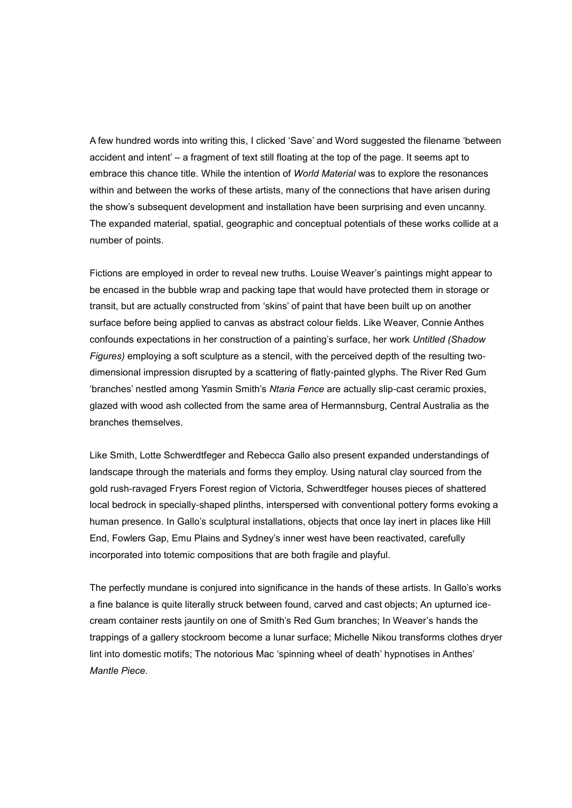A few hundred words into writing this, I clicked 'Save' and Word suggested the filename 'between accident and intent' – a fragment of text still floating at the top of the page. It seems apt to embrace this chance title. While the intention of *World Material* was to explore the resonances within and between the works of these artists, many of the connections that have arisen during the show's subsequent development and installation have been surprising and even uncanny. The expanded material, spatial, geographic and conceptual potentials of these works collide at a number of points.

Fictions are employed in order to reveal new truths. Louise Weaver's paintings might appear to be encased in the bubble wrap and packing tape that would have protected them in storage or transit, but are actually constructed from 'skins' of paint that have been built up on another surface before being applied to canvas as abstract colour fields. Like Weaver, Connie Anthes confounds expectations in her construction of a painting's surface, her work *Untitled (Shadow Figures)* employing a soft sculpture as a stencil, with the perceived depth of the resulting twodimensional impression disrupted by a scattering of flatly-painted glyphs. The River Red Gum 'branches' nestled among Yasmin Smith's *Ntaria Fence* are actually slip-cast ceramic proxies, glazed with wood ash collected from the same area of Hermannsburg, Central Australia as the branches themselves.

Like Smith, Lotte Schwerdtfeger and Rebecca Gallo also present expanded understandings of landscape through the materials and forms they employ. Using natural clay sourced from the gold rush-ravaged Fryers Forest region of Victoria, Schwerdtfeger houses pieces of shattered local bedrock in specially-shaped plinths, interspersed with conventional pottery forms evoking a human presence. In Gallo's sculptural installations, objects that once lay inert in places like Hill End, Fowlers Gap, Emu Plains and Sydney's inner west have been reactivated, carefully incorporated into totemic compositions that are both fragile and playful.

The perfectly mundane is conjured into significance in the hands of these artists. In Gallo's works a fine balance is quite literally struck between found, carved and cast objects; An upturned icecream container rests jauntily on one of Smith's Red Gum branches; In Weaver's hands the trappings of a gallery stockroom become a lunar surface; Michelle Nikou transforms clothes dryer lint into domestic motifs; The notorious Mac 'spinning wheel of death' hypnotises in Anthes' *Mantle Piece*.